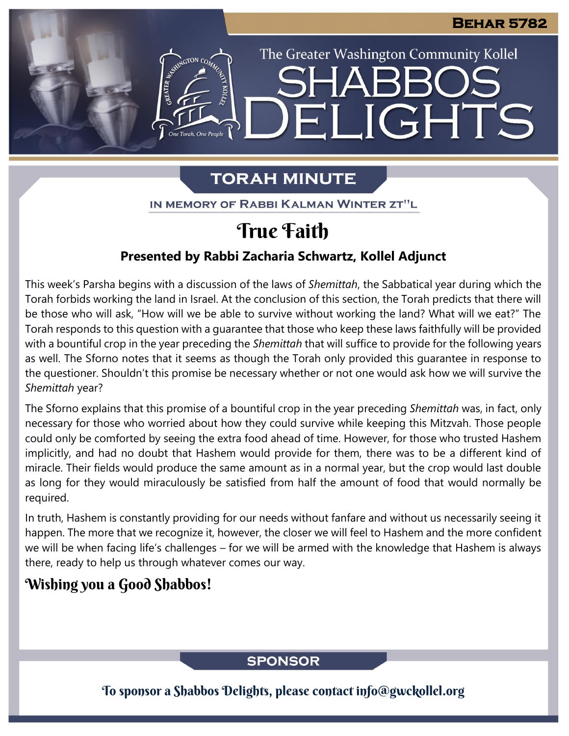The Greater Washington Community Kollel

ELIGHTS

# **TORAH MINUTE**

IN MEMORY OF RABBI KALMAN WINTER ZT"L

# True Faith

## **Presented by Rabbi Zacharia Schwartz, Kollel Adjunct**

This week's Parsha begins with a discussion of the laws of *Shemittah*, the Sabbatical year during which the Torah forbids working the land in Israel. At the conclusion of this section, the Torah predicts that there will be those who will ask, "How will we be able to survive without working the land? What will we eat?" The Torah responds to this question with a guarantee that those who keep these laws faithfully will be provided with a bountiful crop in the year preceding the *Shemittah* that will suffice to provide for the following years as well. The Sforno notes that it seems as though the Torah only provided this guarantee in response to the questioner. Shouldn't this promise be necessary whether or not one would ask how we will survive the *Shemittah* year?

The Sforno explains that this promise of a bountiful crop in the year preceding *Shemittah* was, in fact, only necessary for those who worried about how they could survive while keeping this Mitzvah. Those people could only be comforted by seeing the extra food ahead of time. However, for those who trusted Hashem implicitly, and had no doubt that Hashem would provide for them, there was to be a different kind of miracle. Their fields would produce the same amount as in a normal year, but the crop would last double as long for they would miraculously be satisfied from half the amount of food that would normally be required.

In truth, Hashem is constantly providing for our needs without fanfare and without us necessarily seeing it happen. The more that we recognize it, however, the closer we will feel to Hashem and the more confident we will be when facing life's challenges – for we will be armed with the knowledge that Hashem is always there, ready to help us through whatever comes our way.

## Wishing you a Good Shabbos!

## **SPONSOR**

To sponsor a Shabbos Delights, please contact info@gwckollel.org